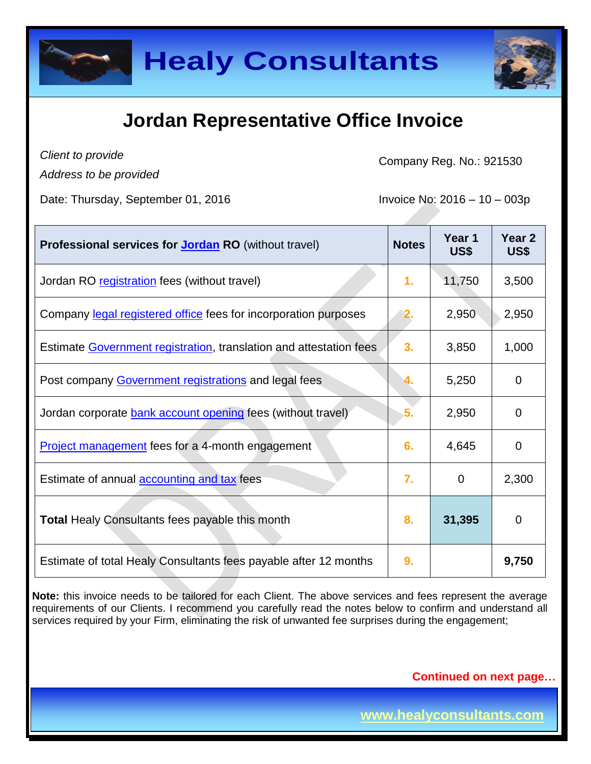



### **Jordan Representative Office Invoice**

*Client to provide*

*Address to be provided*

Company Reg. No.: 921530

Date: Thursday, September 01, 2016  $\blacksquare$  Invoice No: 2016 – 10 – 003p

| <b>Professional services for Jordan RO</b> (without travel)        | <b>Notes</b> | Year 1<br>US\$ | Year <sub>2</sub><br>US\$ |
|--------------------------------------------------------------------|--------------|----------------|---------------------------|
| Jordan RO registration fees (without travel)                       | 1.           | 11,750         | 3,500                     |
| Company legal registered office fees for incorporation purposes    |              | 2,950          | 2,950                     |
| Estimate Government registration, translation and attestation fees | 3.           | 3,850          | 1,000                     |
| Post company Government registrations and legal fees               |              | 5,250          | $\Omega$                  |
| Jordan corporate bank account opening fees (without travel)        | 5.           | 2,950          | 0                         |
| <b>Project management</b> fees for a 4-month engagement            | 6.           | 4,645          | $\overline{0}$            |
| Estimate of annual <b>accounting and tax</b> fees                  | 7.           | $\Omega$       | 2,300                     |
| <b>Total Healy Consultants fees payable this month</b>             | 8.           | 31,395         | 0                         |
| Estimate of total Healy Consultants fees payable after 12 months   | 9.           |                | 9,750                     |

**Note:** this invoice needs to be tailored for each Client. The above services and fees represent the average requirements of our Clients. I recommend you carefully read the notes below to confirm and understand all services required by your Firm, eliminating the risk of unwanted fee surprises during the engagement;

**Continued on next page…**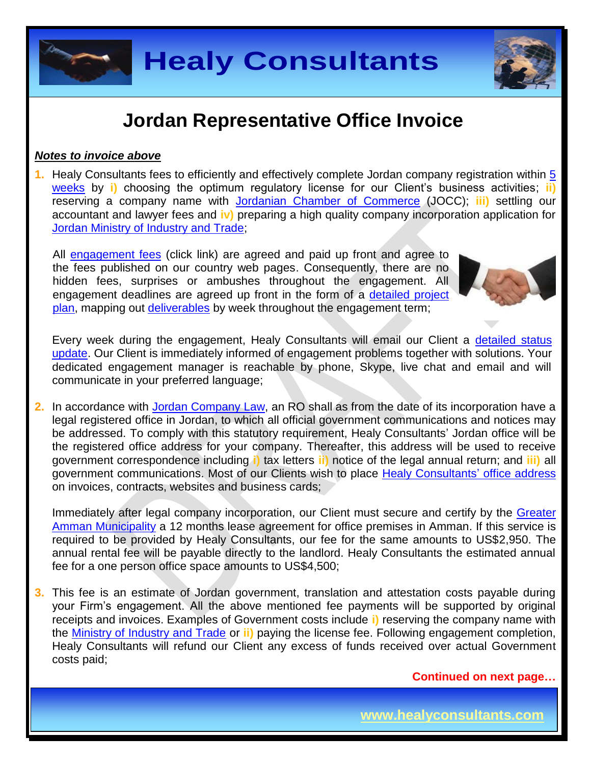

### **Jordan Representative Office Invoice**

#### *Notes to invoice above*

**1.** Healy Consultants fees to efficiently and effectively complete Jordan company registration within [5](http://www.healyconsultants.com/jordan-company-registration/fees-timelines/#timelines)  [weeks](http://www.healyconsultants.com/jordan-company-registration/fees-timelines/#timelines) by **i)** choosing the optimum regulatory license for our Client's business activities; **ii)** reserving a company name with [Jordanian Chamber of Commerce](http://www.jocc.org.jo/index_en.php) (JOCC); **iii)** settling our accountant and lawyer fees and **iv)** preparing a high quality company incorporation application for [Jordan Ministry of Industry and Trade;](http://www.mit.gov.jo/EN/Pages/UnderConstruction.aspx)

All [engagement fees](http://www.healyconsultants.com/company-registration-fees/) (click link) are agreed and paid up front and agree to the fees published on our country web pages. Consequently, there are no hidden fees, surprises or ambushes throughout the engagement. All engagement deadlines are agreed up front in the form of a [detailed project](http://www.healyconsultants.com/index-important-links/example-project-plan/)  [plan,](http://www.healyconsultants.com/index-important-links/example-project-plan/) mapping out [deliverables](http://www.healyconsultants.com/deliverables-to-our-clients/) by week throughout the engagement term;



Every week during the engagement, Healy Consultants will email our Client a detailed status [update.](http://www.healyconsultants.com/index-important-links/weekly-engagement-status-email/) Our Client is immediately informed of engagement problems together with solutions. Your dedicated engagement manager is reachable by phone, Skype, live chat and email and will communicate in your preferred language;

**2.** In accordance with Jordan [Company Law,](https://www.sdc.com.jo/english/index.php?option=com_content&task=view&id=227&Itemid=63) an RO shall as from the date of its incorporation have a legal registered office in Jordan, to which all official government communications and notices may be addressed. To comply with this statutory requirement, Healy Consultants' Jordan office will be the registered office address for your company. Thereafter, this address will be used to receive government correspondence including **i)** tax letters **ii)** notice of the legal annual return; and **iii)** all government communications. Most of our Clients wish to place [Healy Consultants'](http://www.healyconsultants.com/corporate-outsourcing-services/company-secretary-and-legal-registered-office/) office address on invoices, contracts, websites and business cards;

Immediately after legal company incorporation, our Client must secure and certify by the Greater [Amman Municipality](http://www.ammancity.gov.jo/en/gam/index.asp) a 12 months lease agreement for office premises in Amman. If this service is required to be provided by Healy Consultants, our fee for the same amounts to US\$2,950. The annual rental fee will be payable directly to the landlord. Healy Consultants the estimated annual fee for a one person office space amounts to US\$4,500;

**3.** This fee is an estimate of Jordan government, translation and attestation costs payable during your Firm's engagement. All the above mentioned fee payments will be supported by original receipts and invoices. Examples of Government costs include **i)** reserving the company name with the [Ministry of Industry and Trade](https://www.mit.gov.jo/) or **ii)** paying the license fee. Following engagement completion, Healy Consultants will refund our Client any excess of funds received over actual Government costs paid;

**Continued on next page…**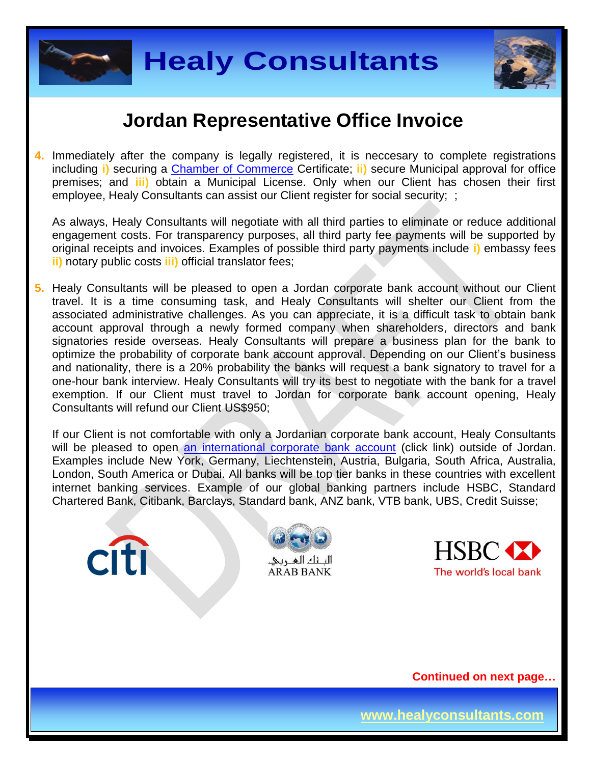



#### **Jordan Representative Office Invoice**

**4.** Immediately after the company is legally registered, it is neccesary to complete registrations including **i)** securing a [Chamber of Commerce](http://www.jocc.org.jo/index_en.php) Certificate; **ii)** secure Municipal approval for office premises; and **iii)** obtain a Municipal License. Only when our Client has chosen their first employee, Healy Consultants can assist our Client register for social security; ;

As always, Healy Consultants will negotiate with all third parties to eliminate or reduce additional engagement costs. For transparency purposes, all third party fee payments will be supported by original receipts and invoices. Examples of possible third party payments include **i)** embassy fees **ii)** notary public costs **iii)** official translator fees;

**5.** Healy Consultants will be pleased to open a Jordan corporate bank account without our Client travel. It is a time consuming task, and Healy Consultants will shelter our Client from the associated administrative challenges. As you can appreciate, it is a difficult task to obtain bank account approval through a newly formed company when shareholders, directors and bank signatories reside overseas. Healy Consultants will prepare a business plan for the bank to optimize the probability of corporate bank account approval. Depending on our Client's business and nationality, there is a 20% probability the banks will request a bank signatory to travel for a one-hour bank interview. Healy Consultants will try its best to negotiate with the bank for a travel exemption. If our Client must travel to Jordan for corporate bank account opening, Healy Consultants will refund our Client US\$950;

If our Client is not comfortable with only a Jordanian corporate bank account, Healy Consultants will be pleased to open [an international corporate bank account](http://www.healyconsultants.com/international-banking/) (click link) outside of Jordan. Examples include New York, Germany, Liechtenstein, Austria, Bulgaria, South Africa, Australia, London, South America or Dubai. All banks will be top tier banks in these countries with excellent internet banking services. Example of our global banking partners include HSBC, Standard Chartered Bank, Citibank, Barclays, Standard bank, ANZ bank, VTB bank, UBS, Credit Suisse;







**Continued on next page…**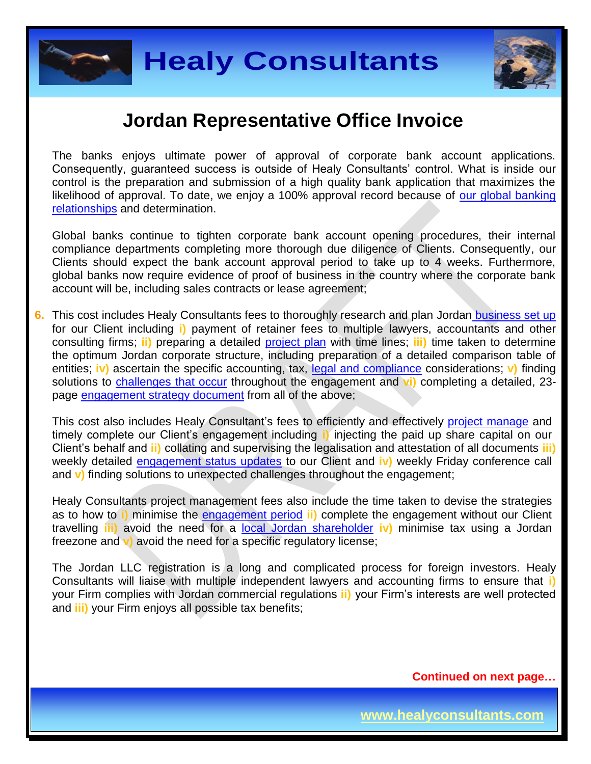



#### **Jordan Representative Office Invoice**

The banks enjoys ultimate power of approval of corporate bank account applications. Consequently, guaranteed success is outside of Healy Consultants' control. What is inside our control is the preparation and submission of a high quality bank application that maximizes the likelihood of approval. To date, we enjoy a 100% approval record because of our global banking [relationships](http://www.healyconsultants.com/international-banking/corporate-accounts/) and determination.

Global banks continue to tighten corporate bank account opening procedures, their internal compliance departments completing more thorough due diligence of Clients. Consequently, our Clients should expect the bank account approval period to take up to 4 weeks. Furthermore, global banks now require evidence of proof of business in the country where the corporate bank account will be, including sales contracts or lease agreement;

**6.** This cost includes Healy Consultants fees to thoroughly research and plan Jordan [business set up](http://www.healyconsultants.com/jordan-company-registration/) for our Client including **i)** payment of retainer fees to multiple lawyers, accountants and other consulting firms; **ii)** preparing a detailed [project plan](http://www.healyconsultants.com/index-important-links/example-project-plan/) with time lines; **iii)** time taken to determine the optimum Jordan corporate structure, including preparation of a detailed comparison table of entities; **iv)** ascertain the specific accounting, tax, [legal and compliance](http://www.healyconsultants.com/about-us/key-personnel/cai-xin-profile/) considerations; **v)** finding solutions to [challenges that occur](http://www.healyconsultants.com/engagement-project-management/) throughout the engagement and **vi)** completing a detailed, 23 page [engagement strategy document](http://www.healyconsultants.com/engagement-strategy/) from all of the above;

This cost also includes Healy Consultant's fees to efficiently and effectively [project manage](http://www.healyconsultants.com/project-manage-engagements/) and timely complete our Client's engagement including **i)** injecting the paid up share capital on our Client's behalf and **ii)** collating and supervising the legalisation and attestation of all documents **iii)**  weekly detailed [engagement status updates](http://www.healyconsultants.com/index-important-links/weekly-engagement-status-email/) to our Client and **iv)** weekly Friday conference call and **v)** finding solutions to unexpected challenges throughout the engagement;

Healy Consultants project management fees also include the time taken to devise the strategies as to how to **i)** minimise the [engagement period](http://www.healyconsultants.com/jordan-company-registration/fees-timelines/) **ii)** complete the engagement without our Client travelling **iii)** avoid the need for a [local Jordan](http://www.healyconsultants.com/national-shareholder-services/) shareholder **iv)** minimise tax using a Jordan freezone and **v)** avoid the need for a specific regulatory license;

The Jordan LLC registration is a long and complicated process for foreign investors. Healy Consultants will liaise with multiple independent lawyers and accounting firms to ensure that **i)** your Firm complies with Jordan commercial regulations **ii)** your Firm's interests are well protected and **iii)** your Firm enjoys all possible tax benefits;

**Continued on next page…**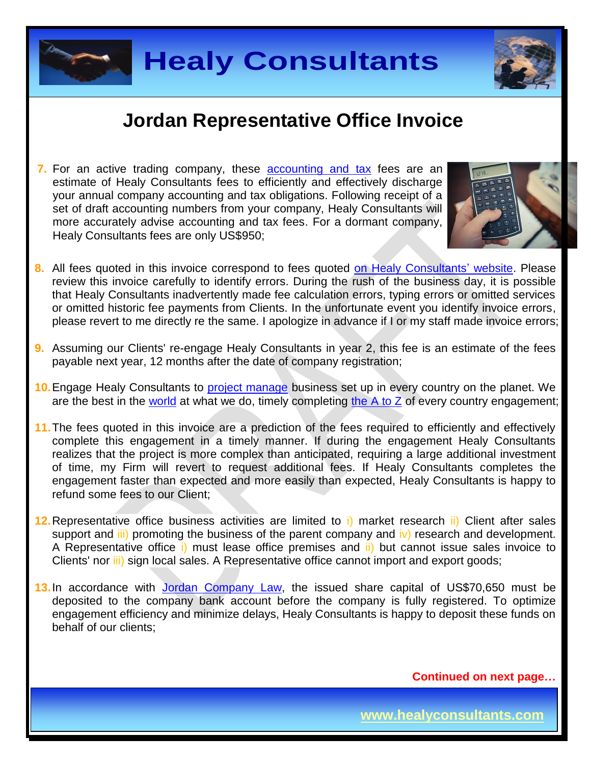



### **Jordan Representative Office Invoice**

**7.** For an active trading company, these **[accounting and tax](http://www.healyconsultants.com/jordan-company-registration/accounting-legal/)** fees are an estimate of Healy Consultants fees to efficiently and effectively discharge your annual company accounting and tax obligations. Following receipt of a set of draft accounting numbers from your company, Healy Consultants will more accurately advise accounting and tax fees. For a dormant company, Healy Consultants fees are only US\$950;



- 
- **8.** All fees quoted in this invoice correspond to fees quoted [on Healy Consultants' website.](http://www.healyconsultants.com/company-registration-fees/) Please review this invoice carefully to identify errors. During the rush of the business day, it is possible that Healy Consultants inadvertently made fee calculation errors, typing errors or omitted services or omitted historic fee payments from Clients. In the unfortunate event you identify invoice errors, please revert to me directly re the same. I apologize in advance if I or my staff made invoice errors;
- **9.** Assuming our Clients' re-engage Healy Consultants in year 2, this fee is an estimate of the fees payable next year, 12 months after the date of company registration;
- **10.**Engage Healy Consultants to [project manage](http://www.healyconsultants.com/project-manage-engagements/) business set up in every country on the planet. We are the best in the [world](http://www.healyconsultants.com/best-in-the-world/) at what we do, timely completing the  $A$  to  $Z$  of every country engagement;
- **11.**The fees quoted in this invoice are a prediction of the fees required to efficiently and effectively complete this engagement in a timely manner. If during the engagement Healy Consultants realizes that the project is more complex than anticipated, requiring a large additional investment of time, my Firm will revert to request additional fees. If Healy Consultants completes the engagement faster than expected and more easily than expected, Healy Consultants is happy to refund some fees to our Client;
- **12.**Representative office business activities are limited to i) market research ii) Client after sales support and  $\overline{iii}$  promoting the business of the parent company and  $\overline{iv}$  research and development. A Representative office i) must lease office premises and ii) but cannot issue sales invoice to Clients' nor *iii*) sign local sales. A Representative office cannot import and export goods;
- **13.**In accordance with [Jordan Company Law,](https://www.sdc.com.jo/english/index.php?option=com_content&task=view&id=227&Itemid=63) the issued share capital of US\$70,650 must be deposited to the company bank account before the company is fully registered. To optimize engagement efficiency and minimize delays, Healy Consultants is happy to deposit these funds on behalf of our clients;

**Continued on next page…**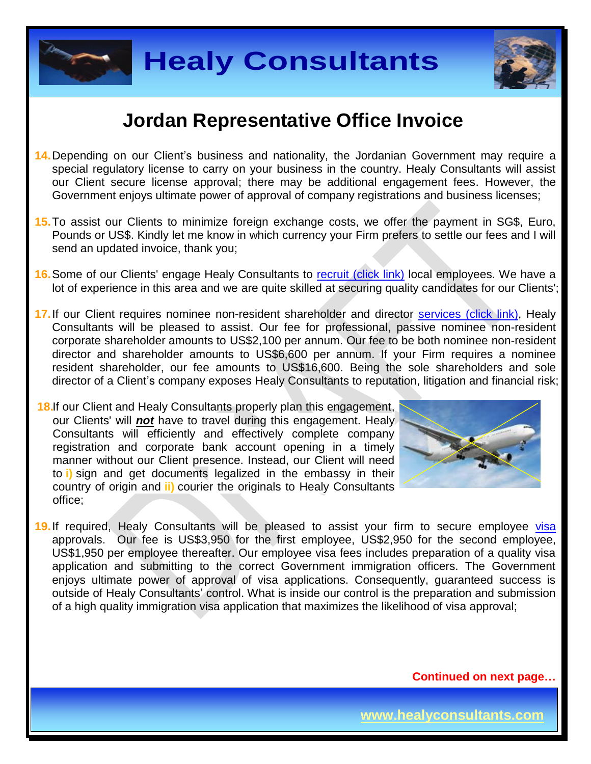



#### **Jordan Representative Office Invoice**

- **14.**Depending on our Client's business and nationality, the Jordanian Government may require a special regulatory license to carry on your business in the country. Healy Consultants will assist our Client secure license approval; there may be additional engagement fees. However, the Government enjoys ultimate power of approval of company registrations and business licenses;
- **15.**To assist our Clients to minimize foreign exchange costs, we offer the payment in SG\$, Euro, Pounds or US\$. Kindly let me know in which currency your Firm prefers to settle our fees and I will send an updated invoice, thank you;
- **16.** Some of our Clients' engage Healy Consultants to [recruit \(click link\)](http://www.healyconsultants.com/corporate-outsourcing-services/how-we-help-our-clients-recruit-quality-employees/) local employees. We have a lot of experience in this area and we are quite skilled at securing quality candidates for our Clients';
- 17. If our Client requires nominee non-resident shareholder and director services [\(click link\),](http://www.healyconsultants.com/corporate-outsourcing-services/nominee-shareholders-directors/) Healy Consultants will be pleased to assist. Our fee for professional, passive nominee non-resident corporate shareholder amounts to US\$2,100 per annum. Our fee to be both nominee non-resident director and shareholder amounts to US\$6,600 per annum. If your Firm requires a nominee resident shareholder, our fee amounts to US\$16,600. Being the sole shareholders and sole director of a Client's company exposes Healy Consultants to reputation, litigation and financial risk;
- **18.** If our Client and Healy Consultants properly plan this engagement, our Clients' will *not* have to travel during this engagement. Healy Consultants will efficiently and effectively complete company registration and corporate bank account opening in a timely manner without our Client presence. Instead, our Client will need to **i)** sign and get documents legalized in the embassy in their country of origin and **ii)** courier the originals to Healy Consultants office;



19. If required, Healy Consultants will be pleased to assist your firm to secure employee [visa](http://www.healyconsultants.com/jordan-company-registration/formation-support-services/#visas) approvals. Our fee is US\$3,950 for the first employee, US\$2,950 for the second employee, US\$1,950 per employee thereafter. Our employee visa fees includes preparation of a quality visa application and submitting to the correct Government immigration officers. The Government enjoys ultimate power of approval of visa applications. Consequently, guaranteed success is outside of Healy Consultants' control. What is inside our control is the preparation and submission of a high quality immigration visa application that maximizes the likelihood of visa approval;

**Continued on next page…**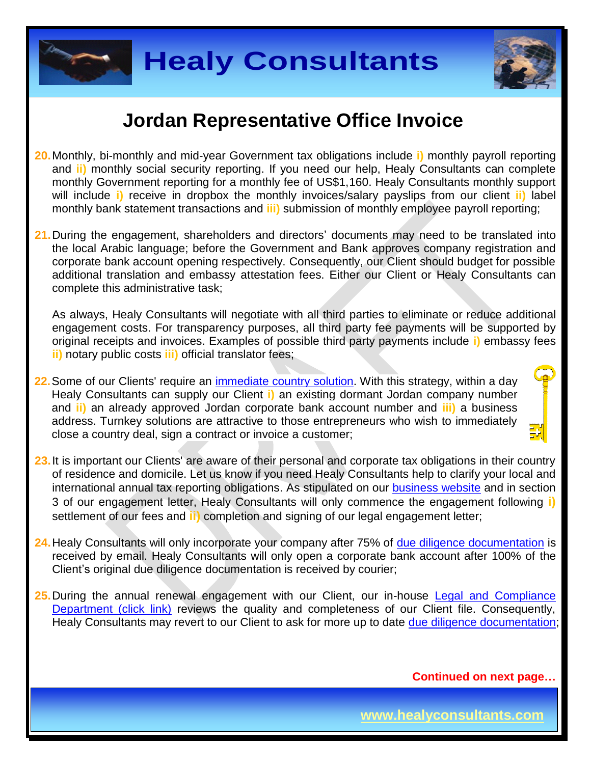



#### **Jordan Representative Office Invoice**

- **20.**Monthly, bi-monthly and mid-year Government tax obligations include **i)** monthly payroll reporting and **ii)** monthly social security reporting. If you need our help, Healy Consultants can complete monthly Government reporting for a monthly fee of US\$1,160. Healy Consultants monthly support will include **i)** receive in dropbox the monthly invoices/salary payslips from our client **ii)** label monthly bank statement transactions and **iii)** submission of monthly employee payroll reporting;
- **21.**During the engagement, shareholders and directors' documents may need to be translated into the local Arabic language; before the Government and Bank approves company registration and corporate bank account opening respectively. Consequently, our Client should budget for possible additional translation and embassy attestation fees. Either our Client or Healy Consultants can complete this administrative task;

As always, Healy Consultants will negotiate with all third parties to eliminate or reduce additional engagement costs. For transparency purposes, all third party fee payments will be supported by original receipts and invoices. Examples of possible third party payments include **i)** embassy fees **ii)** notary public costs **iii)** official translator fees;

- **22.**Some of our Clients' require an [immediate country](http://www.healyconsultants.com/turnkey-solutions/) solution. With this strategy, within a day Healy Consultants can supply our Client **i)** an existing dormant Jordan company number and **ii)** an already approved Jordan corporate bank account number and **iii)** a business address. Turnkey solutions are attractive to those entrepreneurs who wish to immediately close a country deal, sign a contract or invoice a customer;
- **23.**It is important our Clients' are aware of their personal and corporate tax obligations in their country of residence and domicile. Let us know if you need Healy Consultants help to clarify your local and international annual tax reporting obligations. As stipulated on our [business website](http://www.healyconsultants.com/) and in section 3 of our engagement letter, Healy Consultants will only commence the engagement following **i)** settlement of our fees and **ii)** completion and signing of our legal engagement letter;
- **24.**Healy Consultants will only incorporate your company after 75% of [due diligence documentation](http://www.healyconsultants.com/due-diligence/) is received by email. Healy Consultants will only open a corporate bank account after 100% of the Client's original due diligence documentation is received by courier;
- 25. During the annual renewal engagement with our Client, our in-house Legal and Compliance [Department \(click link\)](http://www.healyconsultants.com/about-us/key-personnel/cai-xin-profile/) reviews the quality and completeness of our Client file. Consequently, Healy Consultants may revert to our Client to ask for more up to date [due diligence documentation;](http://www.healyconsultants.com/due-diligence/)

**Continued on next page…**